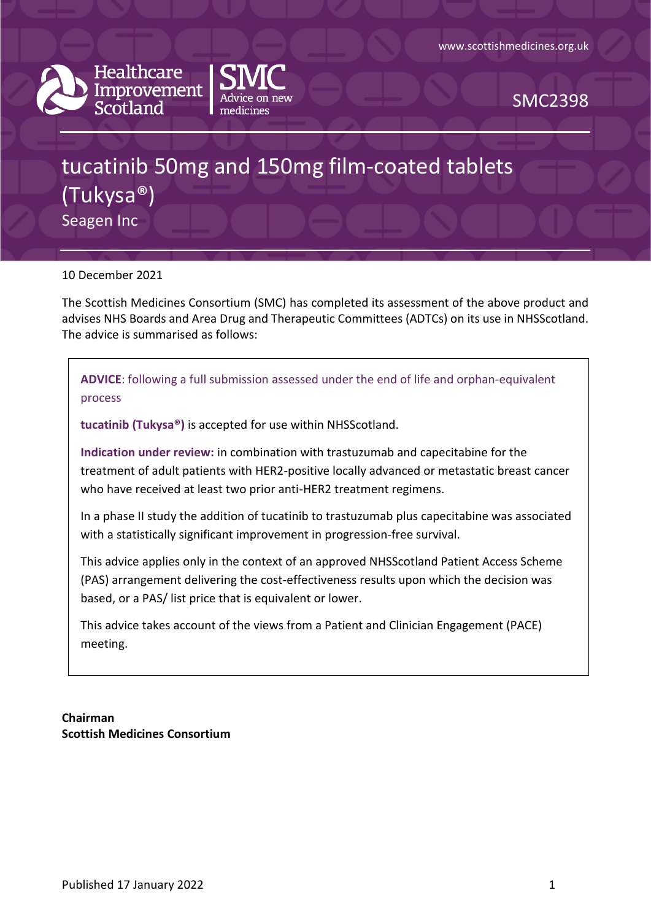



SMC2398

# tucatinib 50mg and 150mg film-coated tablets (Tukysa®) Seagen Inc

10 December 2021

The Scottish Medicines Consortium (SMC) has completed its assessment of the above product and advises NHS Boards and Area Drug and Therapeutic Committees (ADTCs) on its use in NHSScotland. The advice is summarised as follows:

**ADVICE**: following a full submission assessed under the end of life and orphan-equivalent process

**tucatinib (Tukysa®)** is accepted for use within NHSScotland.

**Indication under review:** in combination with trastuzumab and capecitabine for the treatment of adult patients with HER2-positive locally advanced or metastatic breast cancer who have received at least two prior anti-HER2 treatment regimens.

In a phase II study the addition of tucatinib to trastuzumab plus capecitabine was associated with a statistically significant improvement in progression-free survival.

This advice applies only in the context of an approved NHSScotland Patient Access Scheme (PAS) arrangement delivering the cost-effectiveness results upon which the decision was based, or a PAS/ list price that is equivalent or lower.

This advice takes account of the views from a Patient and Clinician Engagement (PACE) meeting.

**Chairman Scottish Medicines Consortium**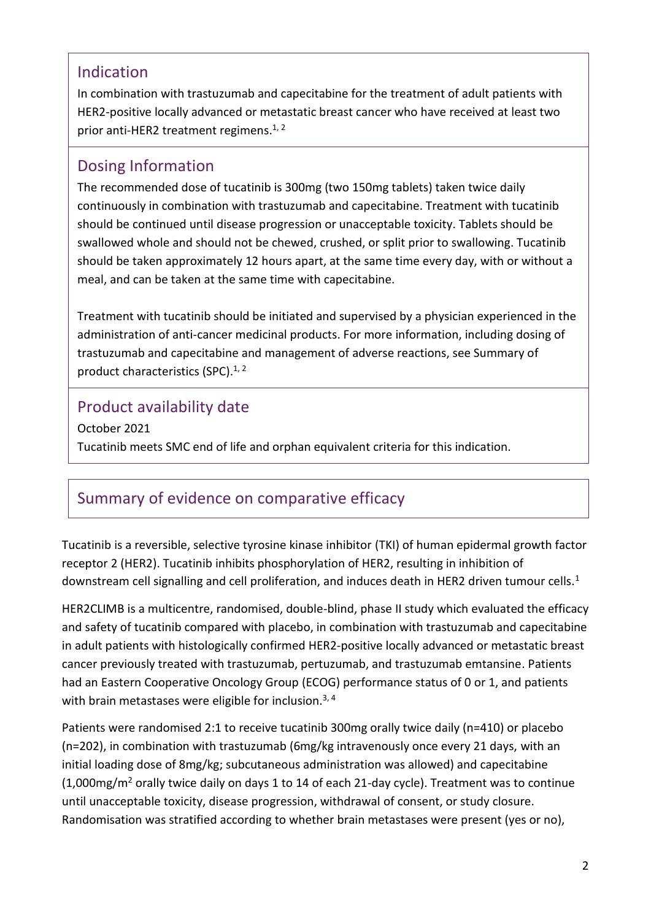## Indication

In combination with trastuzumab and capecitabine for the treatment of adult patients with HER2-positive locally advanced or metastatic breast cancer who have received at least two prior anti-HER2 treatment regimens.<sup>1, 2</sup>

## Dosing Information

The recommended dose of tucatinib is 300mg (two 150mg tablets) taken twice daily continuously in combination with trastuzumab and capecitabine. Treatment with tucatinib should be continued until disease progression or unacceptable toxicity. Tablets should be swallowed whole and should not be chewed, crushed, or split prior to swallowing. Tucatinib should be taken approximately 12 hours apart, at the same time every day, with or without a meal, and can be taken at the same time with capecitabine.

Treatment with tucatinib should be initiated and supervised by a physician experienced in the administration of anti-cancer medicinal products. For more information, including dosing of trastuzumab and capecitabine and management of adverse reactions, see Summary of product characteristics (SPC). $1, 2$ 

# Product availability date

October 2021 Tucatinib meets SMC end of life and orphan equivalent criteria for this indication.

# Summary of evidence on comparative efficacy

Tucatinib is a reversible, selective tyrosine kinase inhibitor (TKI) of human epidermal growth factor receptor 2 (HER2). Tucatinib inhibits phosphorylation of HER2, resulting in inhibition of downstream cell signalling and cell proliferation, and induces death in HER2 driven tumour cells.<sup>1</sup>

HER2CLIMB is a multicentre, randomised, double-blind, phase II study which evaluated the efficacy and safety of tucatinib compared with placebo, in combination with trastuzumab and capecitabine in adult patients with histologically confirmed HER2-positive locally advanced or metastatic breast cancer previously treated with trastuzumab, pertuzumab, and trastuzumab emtansine. Patients had an Eastern Cooperative Oncology Group (ECOG) performance status of 0 or 1, and patients with brain metastases were eligible for inclusion.<sup>3, 4</sup>

Patients were randomised 2:1 to receive tucatinib 300mg orally twice daily (n=410) or placebo (n=202), in combination with trastuzumab (6mg/kg intravenously once every 21 days, with an initial loading dose of 8mg/kg; subcutaneous administration was allowed) and capecitabine (1,000mg/m<sup>2</sup> orally twice daily on days 1 to 14 of each 21-day cycle). Treatment was to continue until unacceptable toxicity, disease progression, withdrawal of consent, or study closure. Randomisation was stratified according to whether brain metastases were present (yes or no),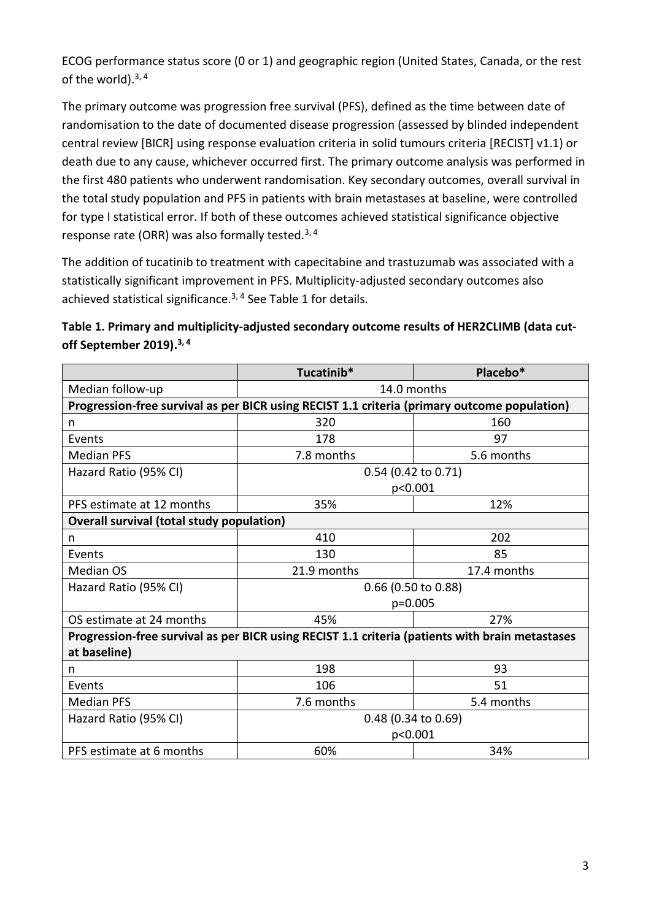ECOG performance status score (0 or 1) and geographic region (United States, Canada, or the rest of the world). $3, 4$ 

The primary outcome was progression free survival (PFS), defined as the time between date of randomisation to the date of documented disease progression (assessed by blinded independent central review [BICR] using response evaluation criteria in solid tumours criteria [RECIST] v1.1) or death due to any cause, whichever occurred first. The primary outcome analysis was performed in the first 480 patients who underwent randomisation. Key secondary outcomes, overall survival in the total study population and PFS in patients with brain metastases at baseline, were controlled for type I statistical error. If both of these outcomes achieved statistical significance objective response rate (ORR) was also formally tested.3, 4

The addition of tucatinib to treatment with capecitabine and trastuzumab was associated with a statistically significant improvement in PFS. Multiplicity-adjusted secondary outcomes also achieved statistical significance.<sup>3, 4</sup> See Table 1 for details.

**Table 1. Primary and multiplicity-adjusted secondary outcome results of HER2CLIMB (data cutoff September 2019). 3, 4**

|                                                                                                 | Tucatinib*                     | Placebo*    |  |  |  |  |
|-------------------------------------------------------------------------------------------------|--------------------------------|-------------|--|--|--|--|
| Median follow-up                                                                                | 14.0 months                    |             |  |  |  |  |
| Progression-free survival as per BICR using RECIST 1.1 criteria (primary outcome population)    |                                |             |  |  |  |  |
| n                                                                                               | 320                            | 160         |  |  |  |  |
| Events                                                                                          | 178                            | 97          |  |  |  |  |
| <b>Median PFS</b>                                                                               | 7.8 months                     | 5.6 months  |  |  |  |  |
| Hazard Ratio (95% CI)                                                                           | 0.54 (0.42 to 0.71)            |             |  |  |  |  |
|                                                                                                 | p<0.001                        |             |  |  |  |  |
| PFS estimate at 12 months                                                                       | 35%                            | 12%         |  |  |  |  |
| <b>Overall survival (total study population)</b>                                                |                                |             |  |  |  |  |
| n                                                                                               | 410                            | 202         |  |  |  |  |
| Events                                                                                          | 130                            | 85          |  |  |  |  |
| <b>Median OS</b>                                                                                | 21.9 months                    | 17.4 months |  |  |  |  |
| Hazard Ratio (95% CI)                                                                           | 0.66 (0.50 to 0.88)            |             |  |  |  |  |
|                                                                                                 | $p=0.005$                      |             |  |  |  |  |
| OS estimate at 24 months                                                                        | 45%                            | 27%         |  |  |  |  |
| Progression-free survival as per BICR using RECIST 1.1 criteria (patients with brain metastases |                                |             |  |  |  |  |
| at baseline)                                                                                    |                                |             |  |  |  |  |
| n                                                                                               | 198                            | 93          |  |  |  |  |
| Events                                                                                          | 106                            | 51          |  |  |  |  |
| <b>Median PFS</b>                                                                               | 7.6 months                     | 5.4 months  |  |  |  |  |
| Hazard Ratio (95% CI)                                                                           | 0.48 (0.34 to 0.69)<br>p<0.001 |             |  |  |  |  |
|                                                                                                 |                                |             |  |  |  |  |
| PFS estimate at 6 months                                                                        | 60%                            | 34%         |  |  |  |  |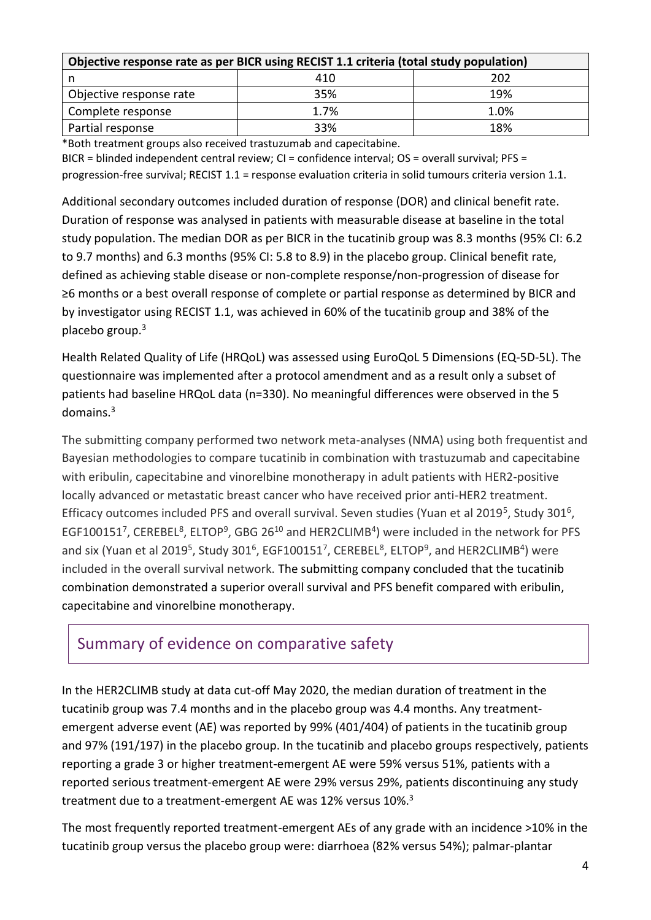| Objective response rate as per BICR using RECIST 1.1 criteria (total study population) |      |      |  |  |  |
|----------------------------------------------------------------------------------------|------|------|--|--|--|
|                                                                                        | 410  | 202  |  |  |  |
| Objective response rate                                                                | 35%  | 19%  |  |  |  |
| Complete response                                                                      | 1.7% | 1.0% |  |  |  |
| Partial response                                                                       | 33%  | 18%  |  |  |  |

\*Both treatment groups also received trastuzumab and capecitabine.

BICR = blinded independent central review; CI = confidence interval; OS = overall survival; PFS = progression-free survival; RECIST 1.1 = response evaluation criteria in solid tumours criteria version 1.1.

Additional secondary outcomes included duration of response (DOR) and clinical benefit rate. Duration of response was analysed in patients with measurable disease at baseline in the total study population. The median DOR as per BICR in the tucatinib group was 8.3 months (95% CI: 6.2 to 9.7 months) and 6.3 months (95% CI: 5.8 to 8.9) in the placebo group. Clinical benefit rate, defined as achieving stable disease or non-complete response/non-progression of disease for ≥6 months or a best overall response of complete or partial response as determined by BICR and by investigator using RECIST 1.1, was achieved in 60% of the tucatinib group and 38% of the placebo group.<sup>3</sup>

Health Related Quality of Life (HRQoL) was assessed using EuroQoL 5 Dimensions (EQ-5D-5L). The questionnaire was implemented after a protocol amendment and as a result only a subset of patients had baseline HRQoL data (n=330). No meaningful differences were observed in the 5 domains.<sup>3</sup>

The submitting company performed two network meta-analyses (NMA) using both frequentist and Bayesian methodologies to compare tucatinib in combination with trastuzumab and capecitabine with eribulin, capecitabine and vinorelbine monotherapy in adult patients with HER2-positive locally advanced or metastatic breast cancer who have received prior anti-HER2 treatment. Efficacy outcomes included PFS and overall survival. Seven studies (Yuan et al 2019<sup>5</sup>, Study 301<sup>6</sup>, EGF100151<sup>7</sup>, CEREBEL<sup>8</sup>, ELTOP<sup>9</sup>, GBG 26<sup>10</sup> and HER2CLIMB<sup>4</sup>) were included in the network for PFS and six (Yuan et al 2019<sup>5</sup>, Study 301<sup>6</sup>, EGF100151<sup>7</sup>, CEREBEL<sup>8</sup>, ELTOP<sup>9</sup>, and HER2CLIMB<sup>4</sup>) were included in the overall survival network. The submitting company concluded that the tucatinib combination demonstrated a superior overall survival and PFS benefit compared with eribulin, capecitabine and vinorelbine monotherapy.

# Summary of evidence on comparative safety

In the HER2CLIMB study at data cut-off May 2020, the median duration of treatment in the tucatinib group was 7.4 months and in the placebo group was 4.4 months. Any treatmentemergent adverse event (AE) was reported by 99% (401/404) of patients in the tucatinib group and 97% (191/197) in the placebo group. In the tucatinib and placebo groups respectively, patients reporting a grade 3 or higher treatment-emergent AE were 59% versus 51%, patients with a reported serious treatment-emergent AE were 29% versus 29%, patients discontinuing any study treatment due to a treatment-emergent AE was 12% versus 10%.<sup>3</sup>

The most frequently reported treatment-emergent AEs of any grade with an incidence >10% in the tucatinib group versus the placebo group were: diarrhoea (82% versus 54%); palmar-plantar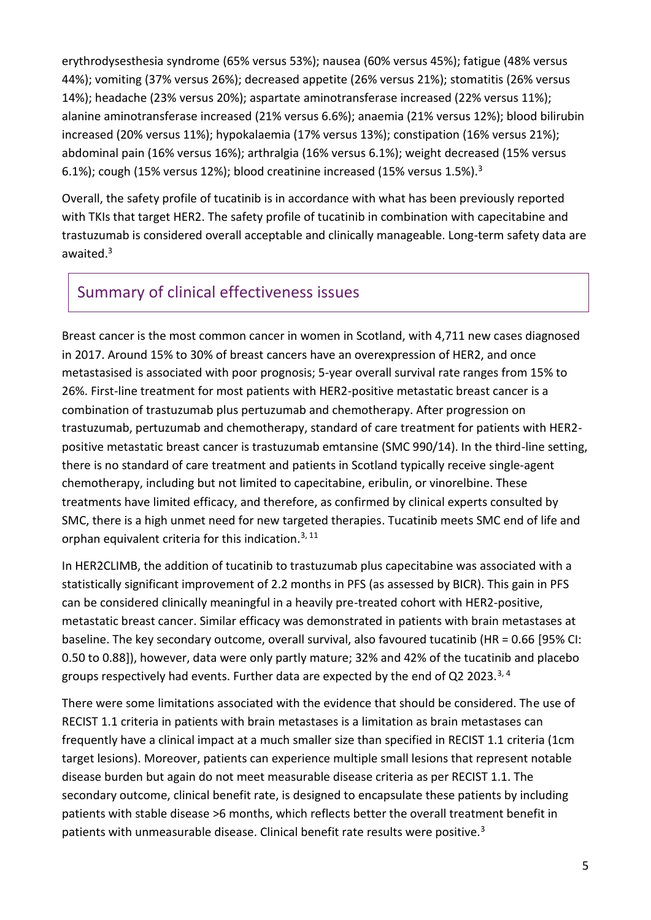erythrodysesthesia syndrome (65% versus 53%); nausea (60% versus 45%); fatigue (48% versus 44%); vomiting (37% versus 26%); decreased appetite (26% versus 21%); stomatitis (26% versus 14%); headache (23% versus 20%); aspartate aminotransferase increased (22% versus 11%); alanine aminotransferase increased (21% versus 6.6%); anaemia (21% versus 12%); blood bilirubin increased (20% versus 11%); hypokalaemia (17% versus 13%); constipation (16% versus 21%); abdominal pain (16% versus 16%); arthralgia (16% versus 6.1%); weight decreased (15% versus 6.1%); cough (15% versus 12%); blood creatinine increased (15% versus 1.5%).<sup>3</sup>

Overall, the safety profile of tucatinib is in accordance with what has been previously reported with TKIs that target HER2. The safety profile of tucatinib in combination with capecitabine and trastuzumab is considered overall acceptable and clinically manageable. Long-term safety data are awaited.<sup>3</sup>

## Summary of clinical effectiveness issues

Breast cancer is the most common cancer in women in Scotland, with 4,711 new cases diagnosed in 2017. Around 15% to 30% of breast cancers have an overexpression of HER2, and once metastasised is associated with poor prognosis; 5-year overall survival rate ranges from 15% to 26%. First-line treatment for most patients with HER2-positive metastatic breast cancer is a combination of trastuzumab plus pertuzumab and chemotherapy. After progression on trastuzumab, pertuzumab and chemotherapy, standard of care treatment for patients with HER2 positive metastatic breast cancer is trastuzumab emtansine (SMC 990/14). In the third-line setting, there is no standard of care treatment and patients in Scotland typically receive single-agent chemotherapy, including but not limited to capecitabine, eribulin, or vinorelbine. These treatments have limited efficacy, and therefore, as confirmed by clinical experts consulted by SMC, there is a high unmet need for new targeted therapies. Tucatinib meets SMC end of life and orphan equivalent criteria for this indication.3, 11

In HER2CLIMB, the addition of tucatinib to trastuzumab plus capecitabine was associated with a statistically significant improvement of 2.2 months in PFS (as assessed by BICR). This gain in PFS can be considered clinically meaningful in a heavily pre-treated cohort with HER2-positive, metastatic breast cancer. Similar efficacy was demonstrated in patients with brain metastases at baseline. The key secondary outcome, overall survival, also favoured tucatinib (HR = 0.66 [95% CI: 0.50 to 0.88]), however, data were only partly mature; 32% and 42% of the tucatinib and placebo groups respectively had events. Further data are expected by the end of Q2 2023. $3,4$ 

There were some limitations associated with the evidence that should be considered. The use of RECIST 1.1 criteria in patients with brain metastases is a limitation as brain metastases can frequently have a clinical impact at a much smaller size than specified in RECIST 1.1 criteria (1cm target lesions). Moreover, patients can experience multiple small lesions that represent notable disease burden but again do not meet measurable disease criteria as per RECIST 1.1. The secondary outcome, clinical benefit rate, is designed to encapsulate these patients by including patients with stable disease >6 months, which reflects better the overall treatment benefit in patients with unmeasurable disease. Clinical benefit rate results were positive.<sup>3</sup>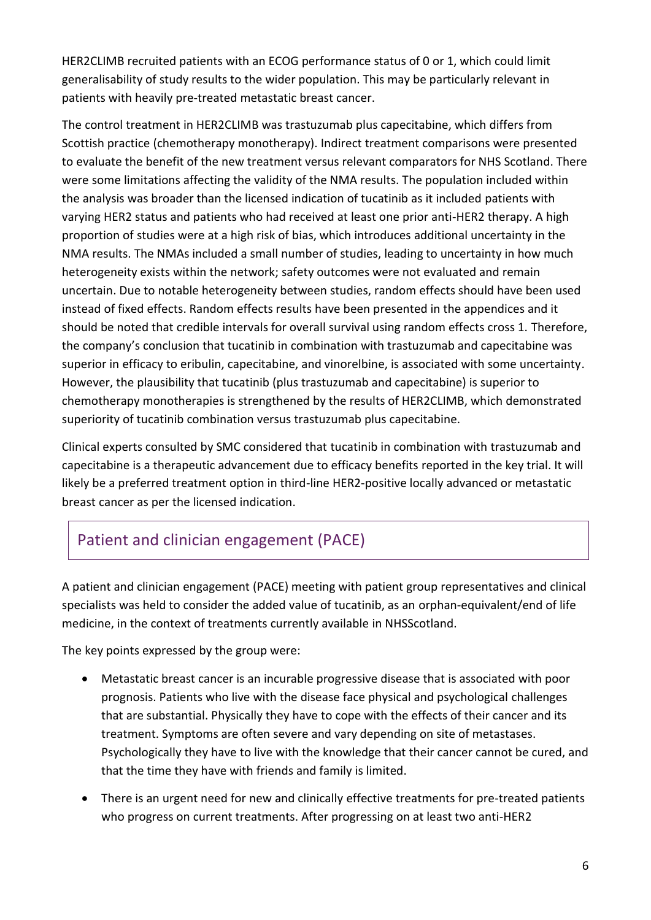HER2CLIMB recruited patients with an ECOG performance status of 0 or 1, which could limit generalisability of study results to the wider population. This may be particularly relevant in patients with heavily pre-treated metastatic breast cancer.

The control treatment in HER2CLIMB was trastuzumab plus capecitabine, which differs from Scottish practice (chemotherapy monotherapy). Indirect treatment comparisons were presented to evaluate the benefit of the new treatment versus relevant comparators for NHS Scotland. There were some limitations affecting the validity of the NMA results. The population included within the analysis was broader than the licensed indication of tucatinib as it included patients with varying HER2 status and patients who had received at least one prior anti-HER2 therapy. A high proportion of studies were at a high risk of bias, which introduces additional uncertainty in the NMA results. The NMAs included a small number of studies, leading to uncertainty in how much heterogeneity exists within the network; safety outcomes were not evaluated and remain uncertain. Due to notable heterogeneity between studies, random effects should have been used instead of fixed effects. Random effects results have been presented in the appendices and it should be noted that credible intervals for overall survival using random effects cross 1. Therefore, the company's conclusion that tucatinib in combination with trastuzumab and capecitabine was superior in efficacy to eribulin, capecitabine, and vinorelbine, is associated with some uncertainty. However, the plausibility that tucatinib (plus trastuzumab and capecitabine) is superior to chemotherapy monotherapies is strengthened by the results of HER2CLIMB, which demonstrated superiority of tucatinib combination versus trastuzumab plus capecitabine.

Clinical experts consulted by SMC considered that tucatinib in combination with trastuzumab and capecitabine is a therapeutic advancement due to efficacy benefits reported in the key trial. It will likely be a preferred treatment option in third-line HER2-positive locally advanced or metastatic breast cancer as per the licensed indication.

# Patient and clinician engagement (PACE)

A patient and clinician engagement (PACE) meeting with patient group representatives and clinical specialists was held to consider the added value of tucatinib, as an orphan-equivalent/end of life medicine, in the context of treatments currently available in NHSScotland.

The key points expressed by the group were:

- Metastatic breast cancer is an incurable progressive disease that is associated with poor prognosis. Patients who live with the disease face physical and psychological challenges that are substantial. Physically they have to cope with the effects of their cancer and its treatment. Symptoms are often severe and vary depending on site of metastases. Psychologically they have to live with the knowledge that their cancer cannot be cured, and that the time they have with friends and family is limited.
- There is an urgent need for new and clinically effective treatments for pre-treated patients who progress on current treatments. After progressing on at least two anti-HER2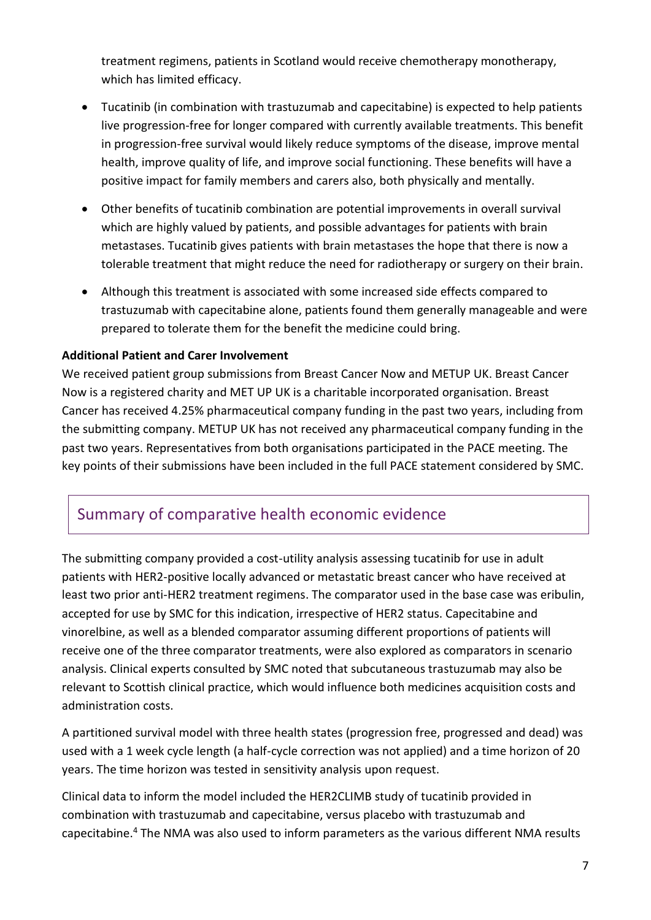treatment regimens, patients in Scotland would receive chemotherapy monotherapy, which has limited efficacy.

- Tucatinib (in combination with trastuzumab and capecitabine) is expected to help patients live progression-free for longer compared with currently available treatments. This benefit in progression-free survival would likely reduce symptoms of the disease, improve mental health, improve quality of life, and improve social functioning. These benefits will have a positive impact for family members and carers also, both physically and mentally.
- Other benefits of tucatinib combination are potential improvements in overall survival which are highly valued by patients, and possible advantages for patients with brain metastases. Tucatinib gives patients with brain metastases the hope that there is now a tolerable treatment that might reduce the need for radiotherapy or surgery on their brain.
- Although this treatment is associated with some increased side effects compared to trastuzumab with capecitabine alone, patients found them generally manageable and were prepared to tolerate them for the benefit the medicine could bring.

#### **Additional Patient and Carer Involvement**

We received patient group submissions from Breast Cancer Now and METUP UK. Breast Cancer Now is a registered charity and MET UP UK is a charitable incorporated organisation. Breast Cancer has received 4.25% pharmaceutical company funding in the past two years, including from the submitting company. METUP UK has not received any pharmaceutical company funding in the past two years. Representatives from both organisations participated in the PACE meeting. The key points of their submissions have been included in the full PACE statement considered by SMC.

## Summary of comparative health economic evidence

The submitting company provided a cost-utility analysis assessing tucatinib for use in adult patients with HER2-positive locally advanced or metastatic breast cancer who have received at least two prior anti-HER2 treatment regimens. The comparator used in the base case was eribulin, accepted for use by SMC for this indication, irrespective of HER2 status. Capecitabine and vinorelbine, as well as a blended comparator assuming different proportions of patients will receive one of the three comparator treatments, were also explored as comparators in scenario analysis. Clinical experts consulted by SMC noted that subcutaneous trastuzumab may also be relevant to Scottish clinical practice, which would influence both medicines acquisition costs and administration costs.

A partitioned survival model with three health states (progression free, progressed and dead) was used with a 1 week cycle length (a half-cycle correction was not applied) and a time horizon of 20 years. The time horizon was tested in sensitivity analysis upon request.

Clinical data to inform the model included the HER2CLIMB study of tucatinib provided in combination with trastuzumab and capecitabine, versus placebo with trastuzumab and capecitabine.<sup>4</sup> The NMA was also used to inform parameters as the various different NMA results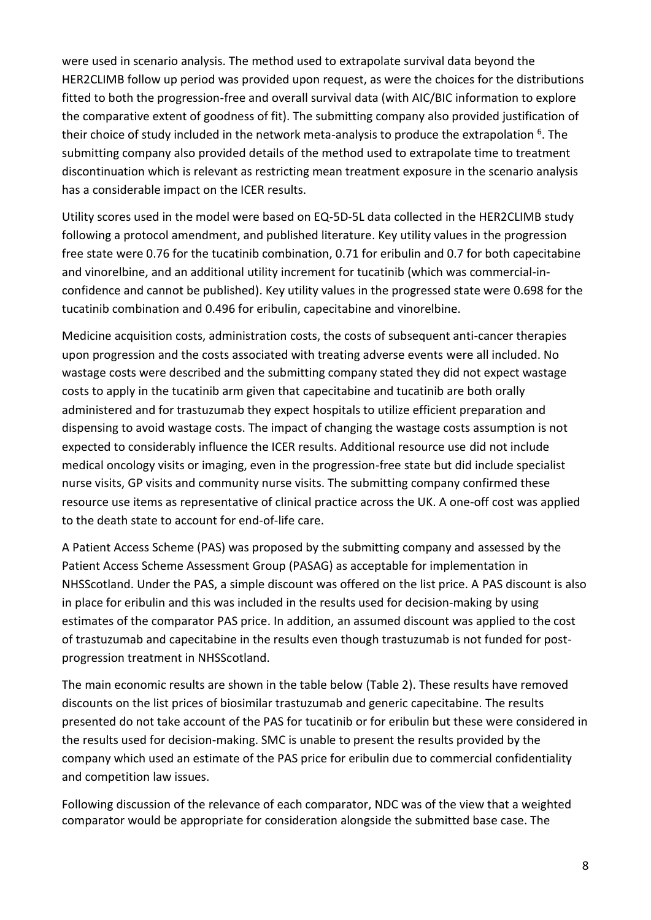were used in scenario analysis. The method used to extrapolate survival data beyond the HER2CLIMB follow up period was provided upon request, as were the choices for the distributions fitted to both the progression-free and overall survival data (with AIC/BIC information to explore the comparative extent of goodness of fit). The submitting company also provided justification of their choice of study included in the network meta-analysis to produce the extrapolation <sup>6</sup>. The submitting company also provided details of the method used to extrapolate time to treatment discontinuation which is relevant as restricting mean treatment exposure in the scenario analysis has a considerable impact on the ICER results.

Utility scores used in the model were based on EQ-5D-5L data collected in the HER2CLIMB study following a protocol amendment, and published literature. Key utility values in the progression free state were 0.76 for the tucatinib combination, 0.71 for eribulin and 0.7 for both capecitabine and vinorelbine, and an additional utility increment for tucatinib (which was commercial-inconfidence and cannot be published). Key utility values in the progressed state were 0.698 for the tucatinib combination and 0.496 for eribulin, capecitabine and vinorelbine.

Medicine acquisition costs, administration costs, the costs of subsequent anti-cancer therapies upon progression and the costs associated with treating adverse events were all included. No wastage costs were described and the submitting company stated they did not expect wastage costs to apply in the tucatinib arm given that capecitabine and tucatinib are both orally administered and for trastuzumab they expect hospitals to utilize efficient preparation and dispensing to avoid wastage costs. The impact of changing the wastage costs assumption is not expected to considerably influence the ICER results. Additional resource use did not include medical oncology visits or imaging, even in the progression-free state but did include specialist nurse visits, GP visits and community nurse visits. The submitting company confirmed these resource use items as representative of clinical practice across the UK. A one-off cost was applied to the death state to account for end-of-life care.

A Patient Access Scheme (PAS) was proposed by the submitting company and assessed by the Patient Access Scheme Assessment Group (PASAG) as acceptable for implementation in NHSScotland. Under the PAS, a simple discount was offered on the list price. A PAS discount is also in place for eribulin and this was included in the results used for decision-making by using estimates of the comparator PAS price. In addition, an assumed discount was applied to the cost of trastuzumab and capecitabine in the results even though trastuzumab is not funded for postprogression treatment in NHSScotland.

The main economic results are shown in the table below (Table 2). These results have removed discounts on the list prices of biosimilar trastuzumab and generic capecitabine. The results presented do not take account of the PAS for tucatinib or for eribulin but these were considered in the results used for decision-making. SMC is unable to present the results provided by the company which used an estimate of the PAS price for eribulin due to commercial confidentiality and competition law issues.

Following discussion of the relevance of each comparator, NDC was of the view that a weighted comparator would be appropriate for consideration alongside the submitted base case. The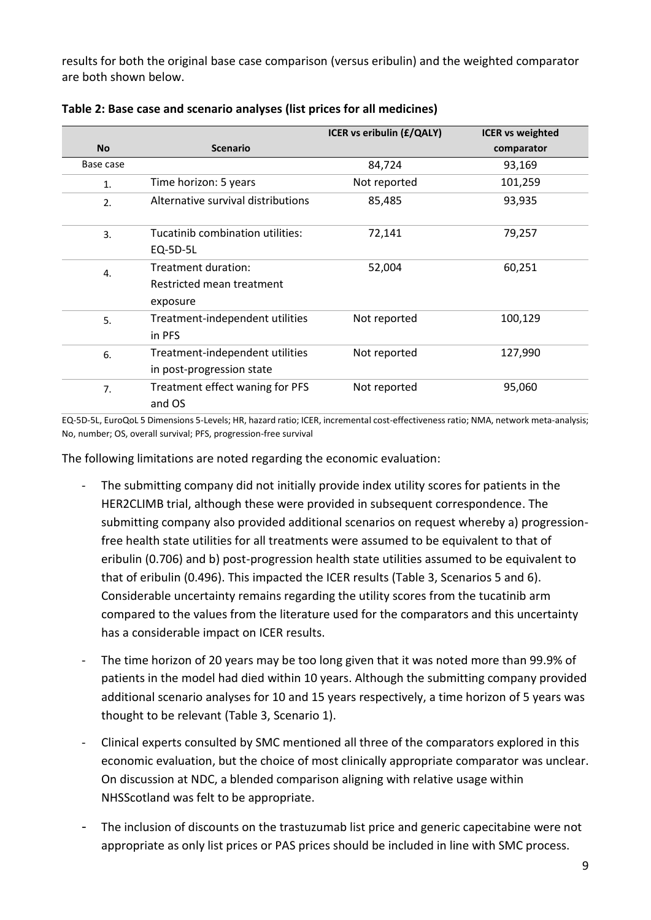results for both the original base case comparison (versus eribulin) and the weighted comparator are both shown below.

|                  |                                                              | ICER vs eribulin (£/QALY) | <b>ICER vs weighted</b> |
|------------------|--------------------------------------------------------------|---------------------------|-------------------------|
| <b>No</b>        | <b>Scenario</b>                                              |                           | comparator              |
| Base case        |                                                              | 84,724                    | 93,169                  |
| 1.               | Time horizon: 5 years                                        | Not reported              | 101,259                 |
| 2.               | Alternative survival distributions                           | 85,485                    | 93,935                  |
| $\overline{3}$ . | Tucatinib combination utilities:<br>EQ-5D-5L                 | 72,141                    | 79,257                  |
| 4.               | Treatment duration:<br>Restricted mean treatment<br>exposure | 52,004                    | 60,251                  |
| 5.               | Treatment-independent utilities<br>in PFS                    | Not reported              | 100,129                 |
| 6.               | Treatment-independent utilities<br>in post-progression state | Not reported              | 127,990                 |
| 7.               | Treatment effect waning for PFS<br>and OS                    | Not reported              | 95,060                  |

**Table 2: Base case and scenario analyses (list prices for all medicines)**

EQ-5D-5L, EuroQoL 5 Dimensions 5-Levels; HR, hazard ratio; ICER, incremental cost-effectiveness ratio; NMA, network meta-analysis; No, number; OS, overall survival; PFS, progression-free survival

The following limitations are noted regarding the economic evaluation:

- The submitting company did not initially provide index utility scores for patients in the HER2CLIMB trial, although these were provided in subsequent correspondence. The submitting company also provided additional scenarios on request whereby a) progressionfree health state utilities for all treatments were assumed to be equivalent to that of eribulin (0.706) and b) post-progression health state utilities assumed to be equivalent to that of eribulin (0.496). This impacted the ICER results (Table 3, Scenarios 5 and 6). Considerable uncertainty remains regarding the utility scores from the tucatinib arm compared to the values from the literature used for the comparators and this uncertainty has a considerable impact on ICER results.
- The time horizon of 20 years may be too long given that it was noted more than 99.9% of patients in the model had died within 10 years. Although the submitting company provided additional scenario analyses for 10 and 15 years respectively, a time horizon of 5 years was thought to be relevant (Table 3, Scenario 1).
- Clinical experts consulted by SMC mentioned all three of the comparators explored in this economic evaluation, but the choice of most clinically appropriate comparator was unclear. On discussion at NDC, a blended comparison aligning with relative usage within NHSScotland was felt to be appropriate.
- The inclusion of discounts on the trastuzumab list price and generic capecitabine were not appropriate as only list prices or PAS prices should be included in line with SMC process.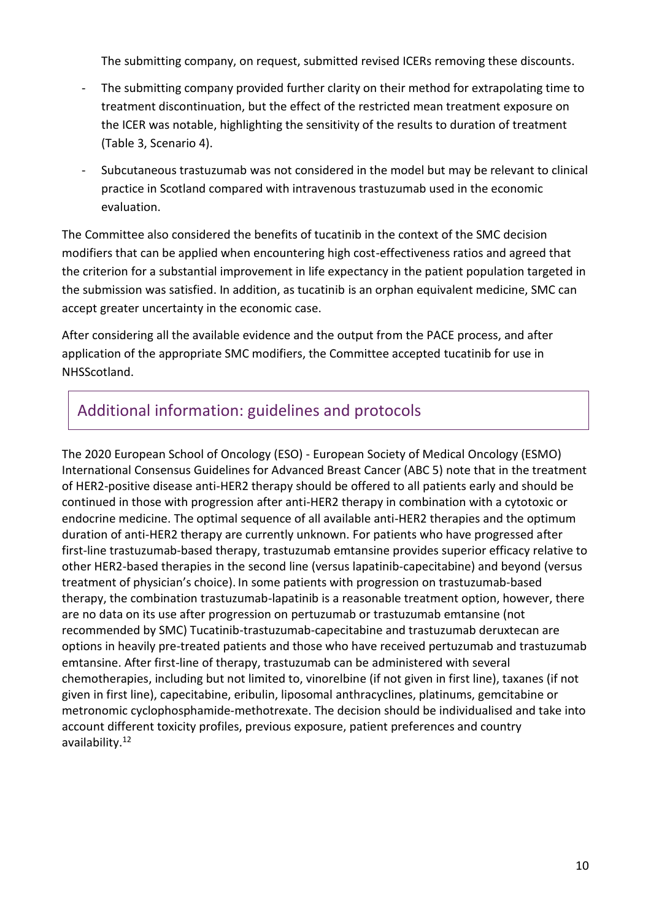The submitting company, on request, submitted revised ICERs removing these discounts.

- The submitting company provided further clarity on their method for extrapolating time to treatment discontinuation, but the effect of the restricted mean treatment exposure on the ICER was notable, highlighting the sensitivity of the results to duration of treatment (Table 3, Scenario 4).
- Subcutaneous trastuzumab was not considered in the model but may be relevant to clinical practice in Scotland compared with intravenous trastuzumab used in the economic evaluation.

The Committee also considered the benefits of tucatinib in the context of the SMC decision modifiers that can be applied when encountering high cost-effectiveness ratios and agreed that the criterion for a substantial improvement in life expectancy in the patient population targeted in the submission was satisfied. In addition, as tucatinib is an orphan equivalent medicine, SMC can accept greater uncertainty in the economic case.

After considering all the available evidence and the output from the PACE process, and after application of the appropriate SMC modifiers, the Committee accepted tucatinib for use in NHSScotland.

## Additional information: guidelines and protocols

The 2020 European School of Oncology (ESO) - European Society of Medical Oncology (ESMO) International Consensus Guidelines for Advanced Breast Cancer (ABC 5) note that in the treatment of HER2-positive disease anti-HER2 therapy should be offered to all patients early and should be continued in those with progression after anti-HER2 therapy in combination with a cytotoxic or endocrine medicine. The optimal sequence of all available anti-HER2 therapies and the optimum duration of anti-HER2 therapy are currently unknown. For patients who have progressed after first-line trastuzumab-based therapy, trastuzumab emtansine provides superior efficacy relative to other HER2-based therapies in the second line (versus lapatinib-capecitabine) and beyond (versus treatment of physician's choice). In some patients with progression on trastuzumab-based therapy, the combination trastuzumab-lapatinib is a reasonable treatment option, however, there are no data on its use after progression on pertuzumab or trastuzumab emtansine (not recommended by SMC) Tucatinib-trastuzumab-capecitabine and trastuzumab deruxtecan are options in heavily pre-treated patients and those who have received pertuzumab and trastuzumab emtansine. After first-line of therapy, trastuzumab can be administered with several chemotherapies, including but not limited to, vinorelbine (if not given in first line), taxanes (if not given in first line), capecitabine, eribulin, liposomal anthracyclines, platinums, gemcitabine or metronomic cyclophosphamide-methotrexate. The decision should be individualised and take into account different toxicity profiles, previous exposure, patient preferences and country availability.12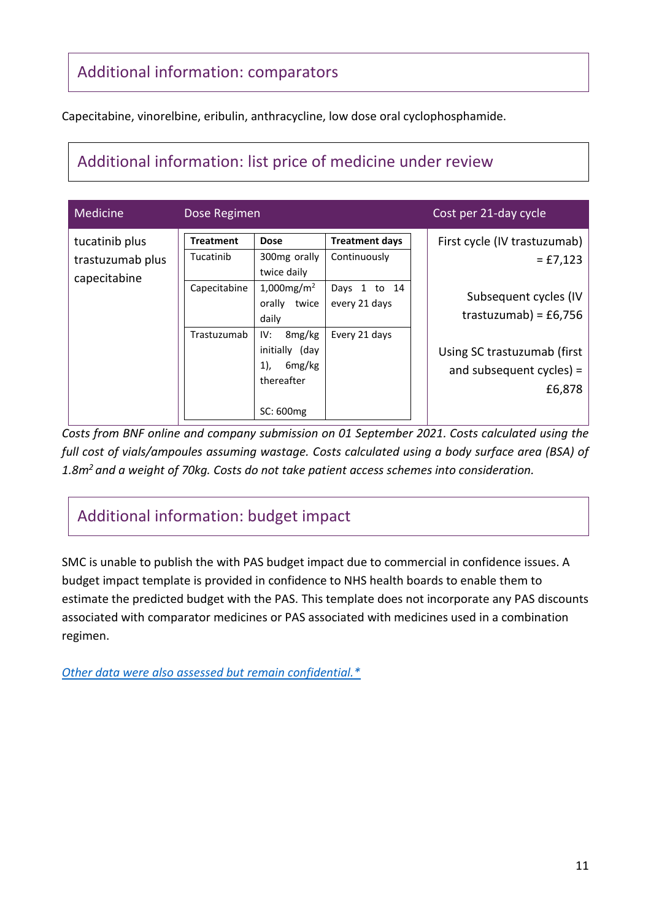# Additional information: comparators

Capecitabine, vinorelbine, eribulin, anthracycline, low dose oral cyclophosphamide.

# Additional information: list price of medicine under review

| Medicine                                           | Dose Regimen                                                 |                                                                                                                                                                                  |                                                                                            | Cost per 21-day cycle                                                                                                                                                  |  |
|----------------------------------------------------|--------------------------------------------------------------|----------------------------------------------------------------------------------------------------------------------------------------------------------------------------------|--------------------------------------------------------------------------------------------|------------------------------------------------------------------------------------------------------------------------------------------------------------------------|--|
| tucatinib plus<br>trastuzumab plus<br>capecitabine | <b>Treatment</b><br>Tucatinib<br>Capecitabine<br>Trastuzumab | <b>Dose</b><br>300mg orally<br>twice daily<br>1,000 $mg/m^2$<br>orally twice<br>daily<br>8mg/kg<br>IV:<br>initially (day<br>1),<br>6 <sub>mg/kg</sub><br>thereafter<br>SC: 600mg | <b>Treatment days</b><br>Continuously<br>Days 1<br>to 14<br>every 21 days<br>Every 21 days | First cycle (IV trastuzumab)<br>$=$ £7,123<br>Subsequent cycles (IV<br>trastuzumab) = $£6,756$<br>Using SC trastuzumab (first<br>and subsequent $cycles$ ) =<br>£6,878 |  |

*Costs from BNF online and company submission on 01 September 2021. Costs calculated using the full cost of vials/ampoules assuming wastage. Costs calculated using a body surface area (BSA) of 1.8m<sup>2</sup>and a weight of 70kg. Costs do not take patient access schemes into consideration.*

# Additional information: budget impact

SMC is unable to publish the with PAS budget impact due to commercial in confidence issues. A budget impact template is provided in confidence to NHS health boards to enable them to estimate the predicted budget with the PAS. This template does not incorporate any PAS discounts associated with comparator medicines or PAS associated with medicines used in a combination regimen.

*[Other data were also assessed but remain confidential.\\*](https://www.scottishmedicines.org.uk/media/3572/20180710-release-of-company-data.pdf)*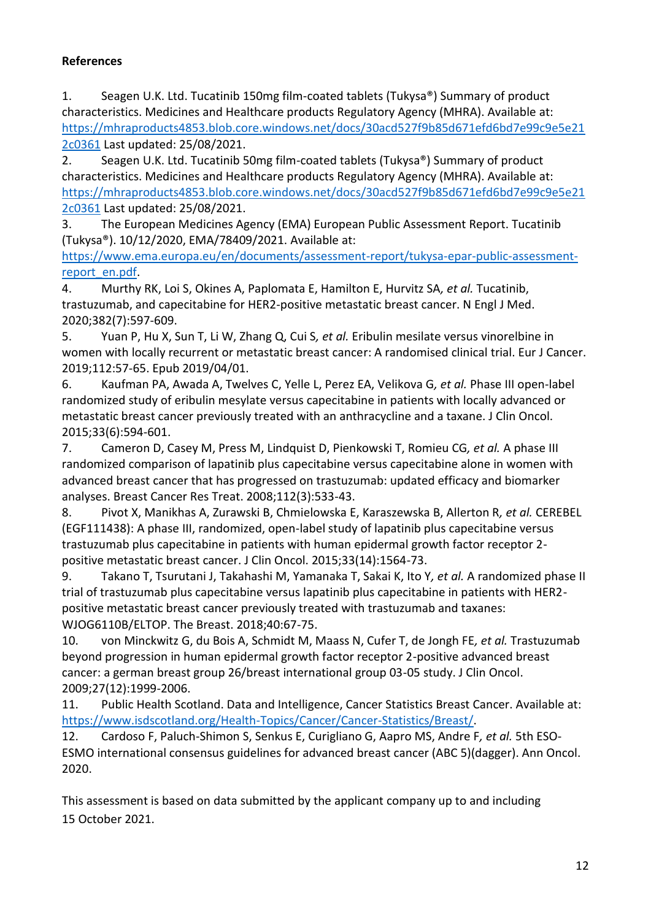#### **References**

1. Seagen U.K. Ltd. Tucatinib 150mg film-coated tablets (Tukysa®) Summary of product characteristics. Medicines and Healthcare products Regulatory Agency (MHRA). Available at: [https://mhraproducts4853.blob.core.windows.net/docs/30acd527f9b85d671efd6bd7e99c9e5e21](https://mhraproducts4853.blob.core.windows.net/docs/30acd527f9b85d671efd6bd7e99c9e5e212c0361) [2c0361](https://mhraproducts4853.blob.core.windows.net/docs/30acd527f9b85d671efd6bd7e99c9e5e212c0361) Last updated: 25/08/2021.

2. Seagen U.K. Ltd. Tucatinib 50mg film-coated tablets (Tukysa®) Summary of product characteristics. Medicines and Healthcare products Regulatory Agency (MHRA). Available at: [https://mhraproducts4853.blob.core.windows.net/docs/30acd527f9b85d671efd6bd7e99c9e5e21](https://mhraproducts4853.blob.core.windows.net/docs/30acd527f9b85d671efd6bd7e99c9e5e212c0361) [2c0361](https://mhraproducts4853.blob.core.windows.net/docs/30acd527f9b85d671efd6bd7e99c9e5e212c0361) Last updated: 25/08/2021.

3. The European Medicines Agency (EMA) European Public Assessment Report. Tucatinib (Tukysa®). 10/12/2020, EMA/78409/2021. Available at:

[https://www.ema.europa.eu/en/documents/assessment-report/tukysa-epar-public-assessment](https://www.ema.europa.eu/en/documents/assessment-report/tukysa-epar-public-assessment-report_en.pdf)[report\\_en.pdf.](https://www.ema.europa.eu/en/documents/assessment-report/tukysa-epar-public-assessment-report_en.pdf)

4. Murthy RK, Loi S, Okines A, Paplomata E, Hamilton E, Hurvitz SA*, et al.* Tucatinib, trastuzumab, and capecitabine for HER2-positive metastatic breast cancer. N Engl J Med. 2020;382(7):597-609.

5. Yuan P, Hu X, Sun T, Li W, Zhang Q, Cui S*, et al.* Eribulin mesilate versus vinorelbine in women with locally recurrent or metastatic breast cancer: A randomised clinical trial. Eur J Cancer. 2019;112:57-65. Epub 2019/04/01.

6. Kaufman PA, Awada A, Twelves C, Yelle L, Perez EA, Velikova G*, et al.* Phase III open-label randomized study of eribulin mesylate versus capecitabine in patients with locally advanced or metastatic breast cancer previously treated with an anthracycline and a taxane. J Clin Oncol. 2015;33(6):594-601.

7. Cameron D, Casey M, Press M, Lindquist D, Pienkowski T, Romieu CG*, et al.* A phase III randomized comparison of lapatinib plus capecitabine versus capecitabine alone in women with advanced breast cancer that has progressed on trastuzumab: updated efficacy and biomarker analyses. Breast Cancer Res Treat. 2008;112(3):533-43.

8. Pivot X, Manikhas A, Zurawski B, Chmielowska E, Karaszewska B, Allerton R*, et al.* CEREBEL (EGF111438): A phase III, randomized, open-label study of lapatinib plus capecitabine versus trastuzumab plus capecitabine in patients with human epidermal growth factor receptor 2 positive metastatic breast cancer. J Clin Oncol. 2015;33(14):1564-73.

9. Takano T, Tsurutani J, Takahashi M, Yamanaka T, Sakai K, Ito Y*, et al.* A randomized phase II trial of trastuzumab plus capecitabine versus lapatinib plus capecitabine in patients with HER2 positive metastatic breast cancer previously treated with trastuzumab and taxanes: WJOG6110B/ELTOP. The Breast. 2018;40:67-75.

10. von Minckwitz G, du Bois A, Schmidt M, Maass N, Cufer T, de Jongh FE*, et al.* Trastuzumab beyond progression in human epidermal growth factor receptor 2-positive advanced breast cancer: a german breast group 26/breast international group 03-05 study. J Clin Oncol. 2009;27(12):1999-2006.

11. Public Health Scotland. Data and Intelligence, Cancer Statistics Breast Cancer. Available at: [https://www.isdscotland.org/Health-Topics/Cancer/Cancer-Statistics/Breast/.](https://www.isdscotland.org/Health-Topics/Cancer/Cancer-Statistics/Breast/)

12. Cardoso F, Paluch-Shimon S, Senkus E, Curigliano G, Aapro MS, Andre F*, et al.* 5th ESO-ESMO international consensus guidelines for advanced breast cancer (ABC 5)(dagger). Ann Oncol. 2020.

This assessment is based on data submitted by the applicant company up to and including 15 October 2021.